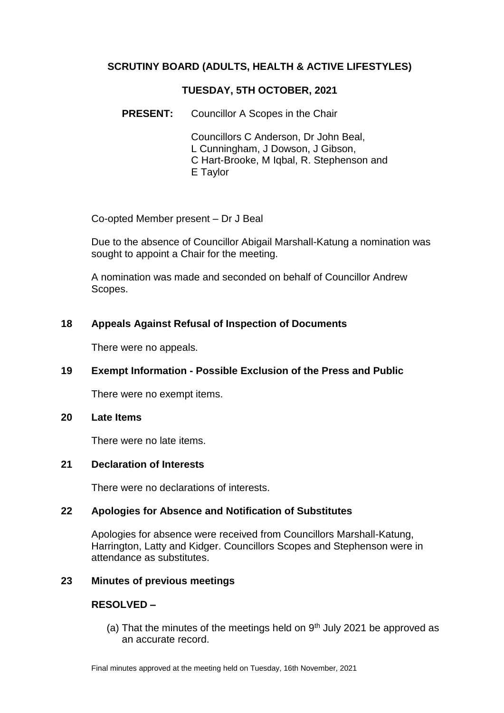## **SCRUTINY BOARD (ADULTS, HEALTH & ACTIVE LIFESTYLES)**

## **TUESDAY, 5TH OCTOBER, 2021**

**PRESENT:** Councillor A Scopes in the Chair

Councillors C Anderson, Dr John Beal, L Cunningham, J Dowson, J Gibson, C Hart-Brooke, M Iqbal, R. Stephenson and E Taylor

Co-opted Member present – Dr J Beal

Due to the absence of Councillor Abigail Marshall-Katung a nomination was sought to appoint a Chair for the meeting.

A nomination was made and seconded on behalf of Councillor Andrew Scopes.

## **18 Appeals Against Refusal of Inspection of Documents**

There were no appeals.

## **19 Exempt Information - Possible Exclusion of the Press and Public**

There were no exempt items.

#### **20 Late Items**

There were no late items.

## **21 Declaration of Interests**

There were no declarations of interests.

## **22 Apologies for Absence and Notification of Substitutes**

Apologies for absence were received from Councillors Marshall-Katung, Harrington, Latty and Kidger. Councillors Scopes and Stephenson were in attendance as substitutes.

## **23 Minutes of previous meetings**

## **RESOLVED –**

(a) That the minutes of the meetings held on  $9<sup>th</sup>$  July 2021 be approved as an accurate record.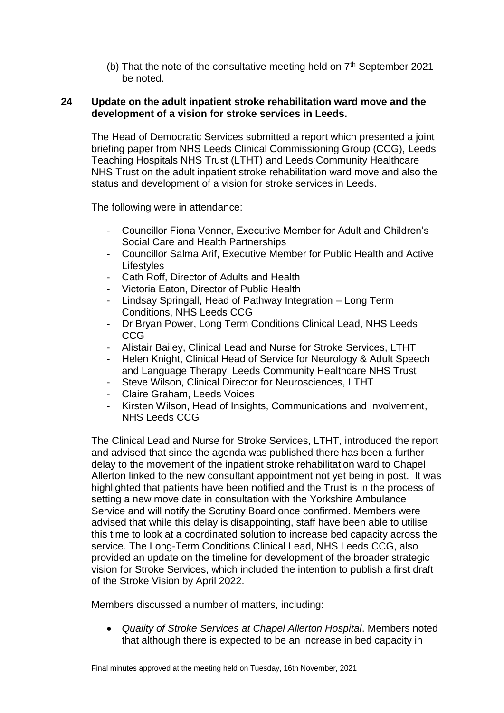(b) That the note of the consultative meeting held on  $7<sup>th</sup>$  September 2021 be noted.

### **24 Update on the adult inpatient stroke rehabilitation ward move and the development of a vision for stroke services in Leeds.**

The Head of Democratic Services submitted a report which presented a joint briefing paper from NHS Leeds Clinical Commissioning Group (CCG), Leeds Teaching Hospitals NHS Trust (LTHT) and Leeds Community Healthcare NHS Trust on the adult inpatient stroke rehabilitation ward move and also the status and development of a vision for stroke services in Leeds.

The following were in attendance:

- Councillor Fiona Venner, Executive Member for Adult and Children's Social Care and Health Partnerships
- Councillor Salma Arif, Executive Member for Public Health and Active **Lifestyles**
- Cath Roff, Director of Adults and Health
- Victoria Eaton, Director of Public Health
- Lindsay Springall, Head of Pathway Integration Long Term Conditions, NHS Leeds CCG
- Dr Bryan Power, Long Term Conditions Clinical Lead, NHS Leeds CCG
- Alistair Bailey, Clinical Lead and Nurse for Stroke Services, LTHT
- Helen Knight, Clinical Head of Service for Neurology & Adult Speech and Language Therapy, Leeds Community Healthcare NHS Trust
- Steve Wilson, Clinical Director for Neurosciences, LTHT
- Claire Graham, Leeds Voices
- Kirsten Wilson, Head of Insights, Communications and Involvement, NHS Leeds CCG

The Clinical Lead and Nurse for Stroke Services, LTHT, introduced the report and advised that since the agenda was published there has been a further delay to the movement of the inpatient stroke rehabilitation ward to Chapel Allerton linked to the new consultant appointment not yet being in post. It was highlighted that patients have been notified and the Trust is in the process of setting a new move date in consultation with the Yorkshire Ambulance Service and will notify the Scrutiny Board once confirmed. Members were advised that while this delay is disappointing, staff have been able to utilise this time to look at a coordinated solution to increase bed capacity across the service. The Long-Term Conditions Clinical Lead, NHS Leeds CCG, also provided an update on the timeline for development of the broader strategic vision for Stroke Services, which included the intention to publish a first draft of the Stroke Vision by April 2022.

Members discussed a number of matters, including:

 *Quality of Stroke Services at Chapel Allerton Hospital*. Members noted that although there is expected to be an increase in bed capacity in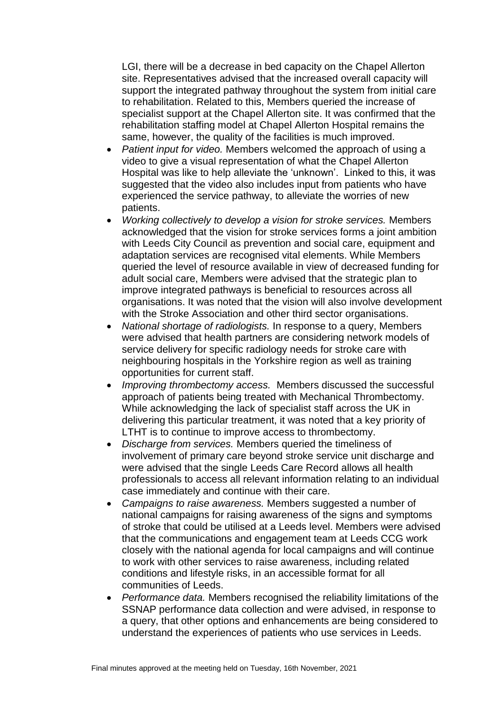LGI, there will be a decrease in bed capacity on the Chapel Allerton site. Representatives advised that the increased overall capacity will support the integrated pathway throughout the system from initial care to rehabilitation. Related to this, Members queried the increase of specialist support at the Chapel Allerton site. It was confirmed that the rehabilitation staffing model at Chapel Allerton Hospital remains the same, however, the quality of the facilities is much improved.

- *Patient input for video.* Members welcomed the approach of using a video to give a visual representation of what the Chapel Allerton Hospital was like to help alleviate the 'unknown'. Linked to this, it was suggested that the video also includes input from patients who have experienced the service pathway, to alleviate the worries of new patients.
- *Working collectively to develop a vision for stroke services.* Members acknowledged that the vision for stroke services forms a joint ambition with Leeds City Council as prevention and social care, equipment and adaptation services are recognised vital elements. While Members queried the level of resource available in view of decreased funding for adult social care, Members were advised that the strategic plan to improve integrated pathways is beneficial to resources across all organisations. It was noted that the vision will also involve development with the Stroke Association and other third sector organisations.
- *National shortage of radiologists.* In response to a query, Members were advised that health partners are considering network models of service delivery for specific radiology needs for stroke care with neighbouring hospitals in the Yorkshire region as well as training opportunities for current staff.
- *Improving thrombectomy access.* Members discussed the successful approach of patients being treated with Mechanical Thrombectomy. While acknowledging the lack of specialist staff across the UK in delivering this particular treatment, it was noted that a key priority of LTHT is to continue to improve access to thrombectomy.
- *Discharge from services.* Members queried the timeliness of involvement of primary care beyond stroke service unit discharge and were advised that the single Leeds Care Record allows all health professionals to access all relevant information relating to an individual case immediately and continue with their care.
- *Campaigns to raise awareness.* Members suggested a number of national campaigns for raising awareness of the signs and symptoms of stroke that could be utilised at a Leeds level. Members were advised that the communications and engagement team at Leeds CCG work closely with the national agenda for local campaigns and will continue to work with other services to raise awareness, including related conditions and lifestyle risks, in an accessible format for all communities of Leeds.
- *Performance data.* Members recognised the reliability limitations of the SSNAP performance data collection and were advised, in response to a query, that other options and enhancements are being considered to understand the experiences of patients who use services in Leeds.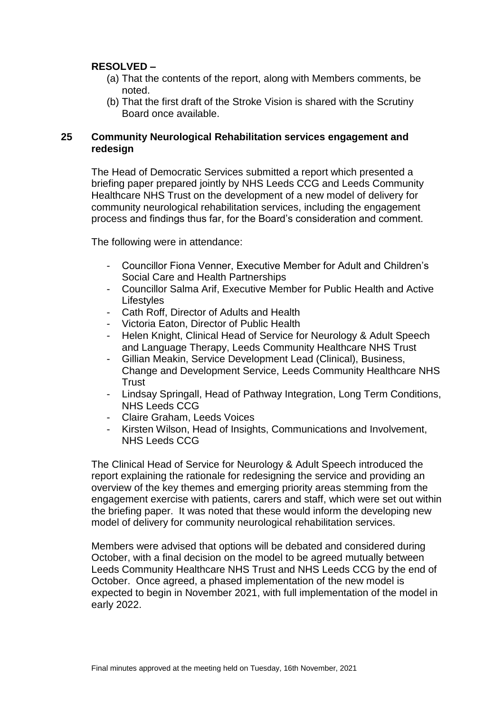## **RESOLVED –**

- (a) That the contents of the report, along with Members comments, be noted.
- (b) That the first draft of the Stroke Vision is shared with the Scrutiny Board once available.

## **25 Community Neurological Rehabilitation services engagement and redesign**

The Head of Democratic Services submitted a report which presented a briefing paper prepared jointly by NHS Leeds CCG and Leeds Community Healthcare NHS Trust on the development of a new model of delivery for community neurological rehabilitation services, including the engagement process and findings thus far, for the Board's consideration and comment.

The following were in attendance:

- Councillor Fiona Venner, Executive Member for Adult and Children's Social Care and Health Partnerships
- Councillor Salma Arif, Executive Member for Public Health and Active **Lifestyles**
- Cath Roff, Director of Adults and Health
- Victoria Eaton, Director of Public Health
- Helen Knight, Clinical Head of Service for Neurology & Adult Speech and Language Therapy, Leeds Community Healthcare NHS Trust
- Gillian Meakin, Service Development Lead (Clinical), Business, Change and Development Service, Leeds Community Healthcare NHS **Trust**
- Lindsay Springall, Head of Pathway Integration, Long Term Conditions, NHS Leeds CCG
- Claire Graham, Leeds Voices
- Kirsten Wilson, Head of Insights, Communications and Involvement, NHS Leeds CCG

The Clinical Head of Service for Neurology & Adult Speech introduced the report explaining the rationale for redesigning the service and providing an overview of the key themes and emerging priority areas stemming from the engagement exercise with patients, carers and staff, which were set out within the briefing paper. It was noted that these would inform the developing new model of delivery for community neurological rehabilitation services.

Members were advised that options will be debated and considered during October, with a final decision on the model to be agreed mutually between Leeds Community Healthcare NHS Trust and NHS Leeds CCG by the end of October. Once agreed, a phased implementation of the new model is expected to begin in November 2021, with full implementation of the model in early 2022.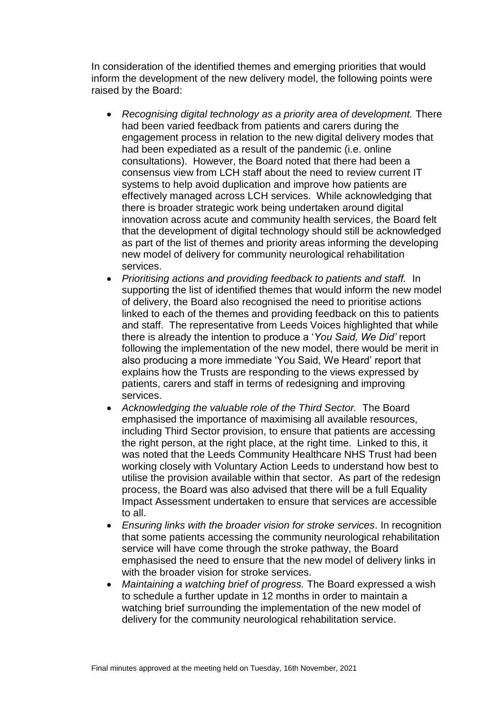In consideration of the identified themes and emerging priorities that would inform the development of the new delivery model, the following points were raised by the Board:

- *Recognising digital technology as a priority area of development.* There had been varied feedback from patients and carers during the engagement process in relation to the new digital delivery modes that had been expediated as a result of the pandemic (i.e. online consultations). However, the Board noted that there had been a consensus view from LCH staff about the need to review current IT systems to help avoid duplication and improve how patients are effectively managed across LCH services. While acknowledging that there is broader strategic work being undertaken around digital innovation across acute and community health services, the Board felt that the development of digital technology should still be acknowledged as part of the list of themes and priority areas informing the developing new model of delivery for community neurological rehabilitation services.
- *Prioritising actions and providing feedback to patients and staff.* In supporting the list of identified themes that would inform the new model of delivery, the Board also recognised the need to prioritise actions linked to each of the themes and providing feedback on this to patients and staff. The representative from Leeds Voices highlighted that while there is already the intention to produce a '*You Said, We Did'* report following the implementation of the new model, there would be merit in also producing a more immediate 'You Said, We Heard' report that explains how the Trusts are responding to the views expressed by patients, carers and staff in terms of redesigning and improving services.
- *Acknowledging the valuable role of the Third Sector.* The Board emphasised the importance of maximising all available resources, including Third Sector provision, to ensure that patients are accessing the right person, at the right place, at the right time. Linked to this, it was noted that the Leeds Community Healthcare NHS Trust had been working closely with Voluntary Action Leeds to understand how best to utilise the provision available within that sector. As part of the redesign process, the Board was also advised that there will be a full Equality Impact Assessment undertaken to ensure that services are accessible to all.
- *Ensuring links with the broader vision for stroke services*. In recognition that some patients accessing the community neurological rehabilitation service will have come through the stroke pathway, the Board emphasised the need to ensure that the new model of delivery links in with the broader vision for stroke services.
- *Maintaining a watching brief of progress.* The Board expressed a wish to schedule a further update in 12 months in order to maintain a watching brief surrounding the implementation of the new model of delivery for the community neurological rehabilitation service.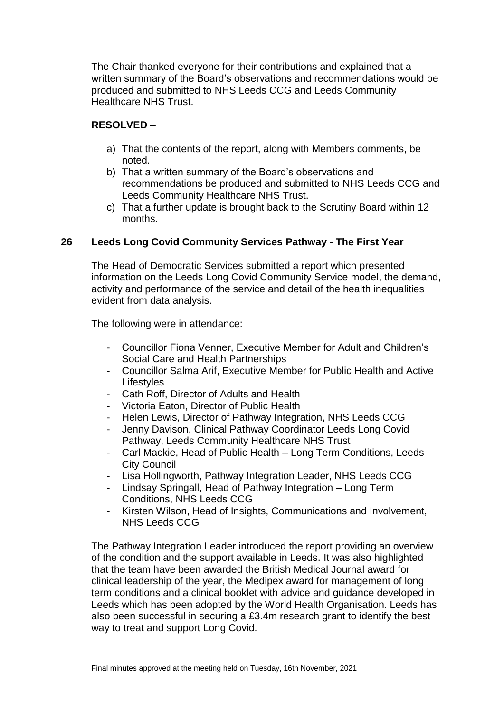The Chair thanked everyone for their contributions and explained that a written summary of the Board's observations and recommendations would be produced and submitted to NHS Leeds CCG and Leeds Community Healthcare NHS Trust.

## **RESOLVED –**

- a) That the contents of the report, along with Members comments, be noted.
- b) That a written summary of the Board's observations and recommendations be produced and submitted to NHS Leeds CCG and Leeds Community Healthcare NHS Trust.
- c) That a further update is brought back to the Scrutiny Board within 12 months.

## **26 Leeds Long Covid Community Services Pathway - The First Year**

The Head of Democratic Services submitted a report which presented information on the Leeds Long Covid Community Service model, the demand, activity and performance of the service and detail of the health inequalities evident from data analysis.

The following were in attendance:

- Councillor Fiona Venner, Executive Member for Adult and Children's Social Care and Health Partnerships
- Councillor Salma Arif, Executive Member for Public Health and Active **Lifestyles**
- Cath Roff, Director of Adults and Health
- Victoria Eaton, Director of Public Health
- Helen Lewis, Director of Pathway Integration, NHS Leeds CCG
- Jenny Davison, Clinical Pathway Coordinator Leeds Long Covid Pathway, Leeds Community Healthcare NHS Trust
- Carl Mackie, Head of Public Health Long Term Conditions, Leeds City Council
- Lisa Hollingworth, Pathway Integration Leader, NHS Leeds CCG
- Lindsay Springall, Head of Pathway Integration Long Term Conditions, NHS Leeds CCG
- Kirsten Wilson, Head of Insights, Communications and Involvement, NHS Leeds CCG

The Pathway Integration Leader introduced the report providing an overview of the condition and the support available in Leeds. It was also highlighted that the team have been awarded the British Medical Journal award for clinical leadership of the year, the Medipex award for management of long term conditions and a clinical booklet with advice and guidance developed in Leeds which has been adopted by the World Health Organisation. Leeds has also been successful in securing a £3.4m research grant to identify the best way to treat and support Long Covid.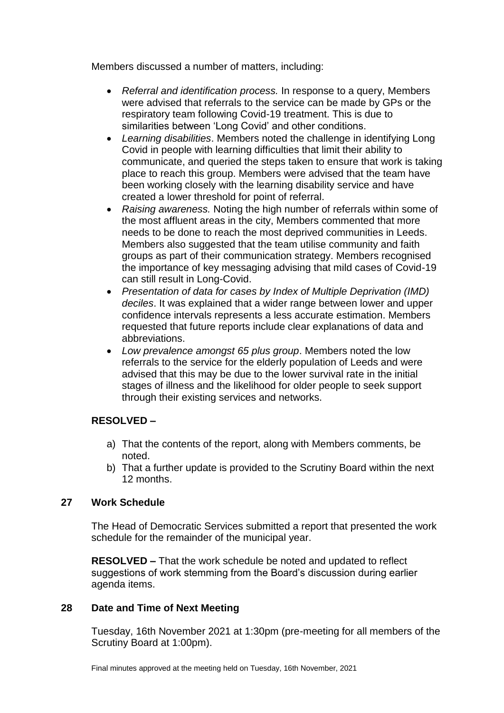Members discussed a number of matters, including:

- *Referral and identification process.* In response to a query, Members were advised that referrals to the service can be made by GPs or the respiratory team following Covid-19 treatment. This is due to similarities between 'Long Covid' and other conditions.
- *Learning disabilities*. Members noted the challenge in identifying Long Covid in people with learning difficulties that limit their ability to communicate, and queried the steps taken to ensure that work is taking place to reach this group. Members were advised that the team have been working closely with the learning disability service and have created a lower threshold for point of referral.
- *Raising awareness.* Noting the high number of referrals within some of the most affluent areas in the city, Members commented that more needs to be done to reach the most deprived communities in Leeds. Members also suggested that the team utilise community and faith groups as part of their communication strategy. Members recognised the importance of key messaging advising that mild cases of Covid-19 can still result in Long-Covid.
- *Presentation of data for cases by Index of Multiple Deprivation (IMD) deciles*. It was explained that a wider range between lower and upper confidence intervals represents a less accurate estimation. Members requested that future reports include clear explanations of data and abbreviations.
- *Low prevalence amongst 65 plus group*. Members noted the low referrals to the service for the elderly population of Leeds and were advised that this may be due to the lower survival rate in the initial stages of illness and the likelihood for older people to seek support through their existing services and networks.

# **RESOLVED –**

- a) That the contents of the report, along with Members comments, be noted.
- b) That a further update is provided to the Scrutiny Board within the next 12 months.

## **27 Work Schedule**

The Head of Democratic Services submitted a report that presented the work schedule for the remainder of the municipal year.

**RESOLVED –** That the work schedule be noted and updated to reflect suggestions of work stemming from the Board's discussion during earlier agenda items.

## **28 Date and Time of Next Meeting**

Tuesday, 16th November 2021 at 1:30pm (pre-meeting for all members of the Scrutiny Board at 1:00pm).